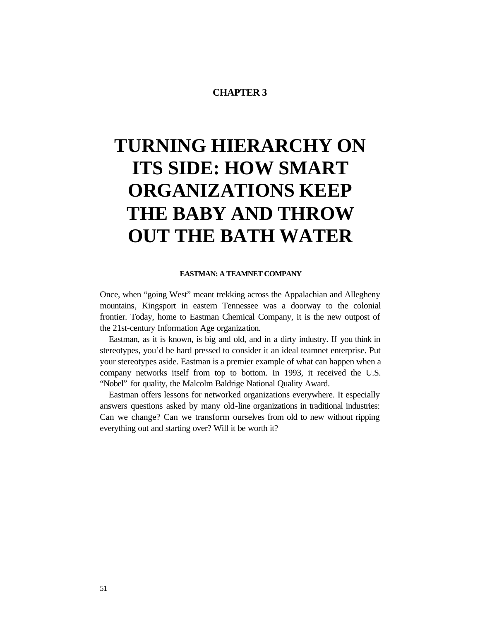#### **CHAPTER 3**

## **TURNING HIERARCHY ON ITS SIDE: HOW SMART ORGANIZATIONS KEEP THE BABY AND THROW OUT THE BATH WATER**

#### **EASTMAN: A TEAMNET COMPANY**

Once, when "going West" meant trekking across the Appalachian and Allegheny mountains, Kingsport in eastern Tennessee was a doorway to the colonial frontier. Today, home to Eastman Chemical Company, it is the new outpost of the 21st-century Information Age organization.

Eastman, as it is known, is big and old, and in a dirty industry. If you think in stereotypes, you'd be hard pressed to consider it an ideal teamnet enterprise. Put your stereotypes aside. Eastman is a premier example of what can happen when a company networks itself from top to bottom. In 1993, it received the U.S. "Nobel" for quality, the Malcolm Baldrige National Quality Award.

Eastman offers lessons for networked organizations everywhere. It especially answers questions asked by many old-line organizations in traditional industries: Can we change? Can we transform ourselves from old to new without ripping everything out and starting over? Will it be worth it?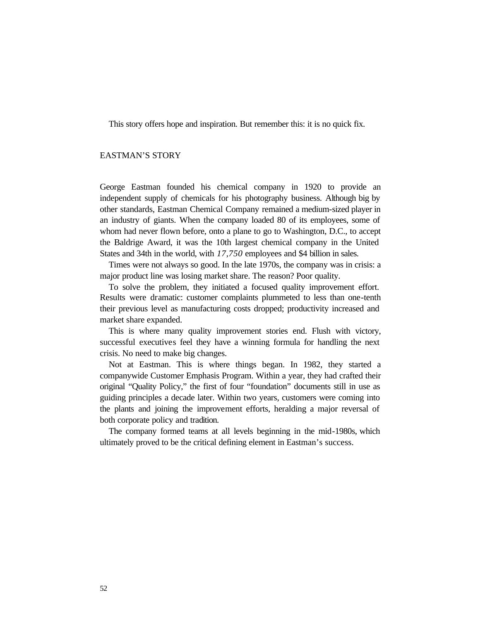This story offers hope and inspiration. But remember this: it is no quick fix.

#### EASTMAN'S STORY

George Eastman founded his chemical company in 1920 to provide an independent supply of chemicals for his photography business. Although big by other standards, Eastman Chemical Company remained a medium-sized player in an industry of giants. When the company loaded 80 of its employees, some of whom had never flown before, onto a plane to go to Washington, D.C., to accept the Baldrige Award, it was the 10th largest chemical company in the United States and 34th in the world, with *17,750* employees and \$4 billion in sales.

Times were not always so good. In the late 1970s, the company was in crisis: a major product line was losing market share. The reason? Poor quality.

To solve the problem, they initiated a focused quality improvement effort. Results were dramatic: customer complaints plummeted to less than one-tenth their previous level as manufacturing costs dropped; productivity increased and market share expanded.

This is where many quality improvement stories end. Flush with victory, successful executives feel they have a winning formula for handling the next crisis. No need to make big changes.

Not at Eastman. This is where things began. In 1982, they started a companywide Customer Emphasis Program. Within a year, they had crafted their original "Quality Policy," the first of four "foundation" documents still in use as guiding principles a decade later. Within two years, customers were coming into the plants and joining the improvement efforts, heralding a major reversal of both corporate policy and tradition.

The company formed teams at all levels beginning in the mid-1980s, which ultimately proved to be the critical defining element in Eastman's success.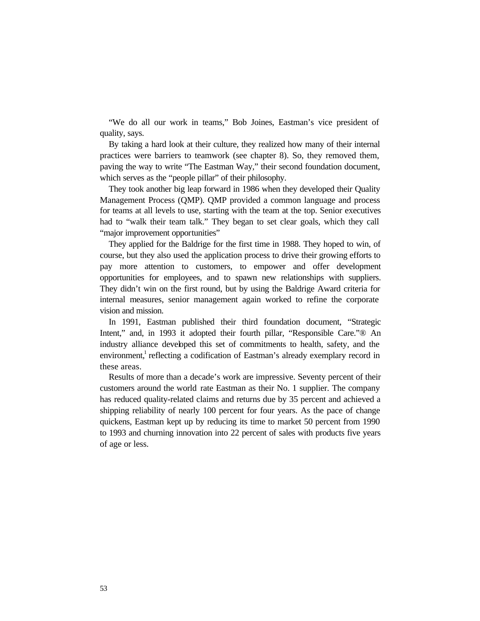"We do all our work in teams," Bob Joines, Eastman's vice president of quality, says.

By taking a hard look at their culture, they realized how many of their internal practices were barriers to teamwork (see chapter 8). So, they removed them, paving the way to write "The Eastman Way," their second foundation document, which serves as the "people pillar" of their philosophy.

They took another big leap forward in 1986 when they developed their Quality Management Process (QMP). QMP provided a common language and process for teams at all levels to use, starting with the team at the top. Senior executives had to "walk their team talk." They began to set clear goals, which they call "major improvement opportunities"

They applied for the Baldrige for the first time in 1988. They hoped to win, of course, but they also used the application process to drive their growing efforts to pay more attention to customers, to empower and offer development opportunities for employees, and to spawn new relationships with suppliers. They didn't win on the first round, but by using the Baldrige Award criteria for internal measures, senior management again worked to refine the corporate vision and mission.

In 1991, Eastman published their third foundation document, "Strategic Intent," and, in 1993 it adopted their fourth pillar, "Responsible Care."® An industry alliance developed this set of commitments to health, safety, and the environment,<sup>1</sup> reflecting a codification of Eastman's already exemplary record in these areas.

Results of more than a decade's work are impressive. Seventy percent of their customers around the world rate Eastman as their No. 1 supplier. The company has reduced quality-related claims and returns due by 35 percent and achieved a shipping reliability of nearly 100 percent for four years. As the pace of change quickens, Eastman kept up by reducing its time to market 50 percent from 1990 to 1993 and churning innovation into 22 percent of sales with products five years of age or less.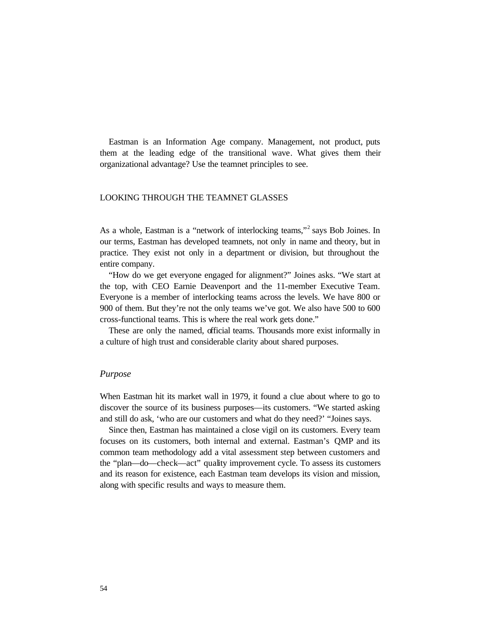Eastman is an Information Age company. Management, not product, puts them at the leading edge of the transitional wave. What gives them their organizational advantage? Use the teamnet principles to see.

#### LOOKING THROUGH THE TEAMNET GLASSES

As a whole, Eastman is a "network of interlocking teams,"<sup>2</sup> says Bob Joines. In our terms, Eastman has developed teamnets, not only in name and theory, but in practice. They exist not only in a department or division, but throughout the entire company.

"How do we get everyone engaged for alignment?" Joines asks. "We start at the top, with CEO Earnie Deavenport and the 11-member Executive Team. Everyone is a member of interlocking teams across the levels. We have 800 or 900 of them. But they're not the only teams we've got. We also have 500 to 600 cross-functional teams. This is where the real work gets done."

These are only the named, official teams. Thousands more exist informally in a culture of high trust and considerable clarity about shared purposes.

#### *Purpose*

When Eastman hit its market wall in 1979, it found a clue about where to go to discover the source of its business purposes—its customers. "We started asking and still do ask, 'who are our customers and what do they need?' "Joines says.

Since then, Eastman has maintained a close vigil on its customers. Every team focuses on its customers, both internal and external. Eastman's QMP and its common team methodology add a vital assessment step between customers and the "plan—do—check—act" quality improvement cycle. To assess its customers and its reason for existence, each Eastman team develops its vision and mission, along with specific results and ways to measure them.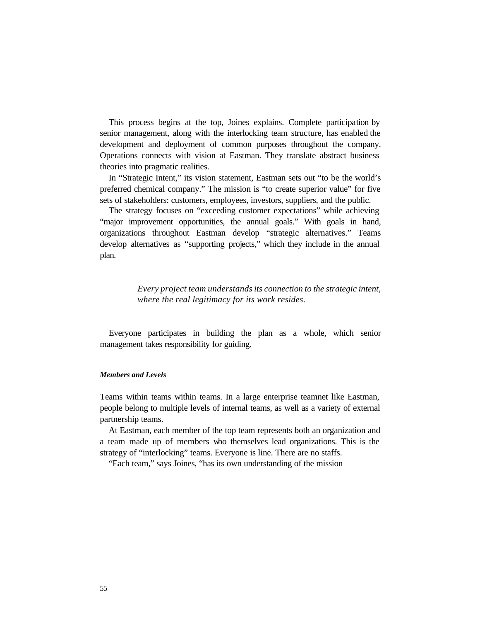This process begins at the top, Joines explains. Complete participation by senior management, along with the interlocking team structure, has enabled the development and deployment of common purposes throughout the company. Operations connects with vision at Eastman. They translate abstract business theories into pragmatic realities.

In "Strategic Intent," its vision statement, Eastman sets out "to be the world's preferred chemical company." The mission is "to create superior value" for five sets of stakeholders: customers, employees, investors, suppliers, and the public.

The strategy focuses on "exceeding customer expectations" while achieving "major improvement opportunities, the annual goals." With goals in hand, organizations throughout Eastman develop "strategic alternatives." Teams develop alternatives as "supporting projects," which they include in the annual plan.

> *Every project team understands its connection to the strategic intent, where the real legitimacy for its work resides.*

Everyone participates in building the plan as a whole, which senior management takes responsibility for guiding.

#### *Members and Levels*

Teams within teams within teams. In a large enterprise teamnet like Eastman, people belong to multiple levels of internal teams, as well as a variety of external partnership teams.

At Eastman, each member of the top team represents both an organization and a team made up of members who themselves lead organizations. This is the strategy of "interlocking" teams. Everyone is line. There are no staffs.

"Each team," says Joines, "has its own understanding of the mission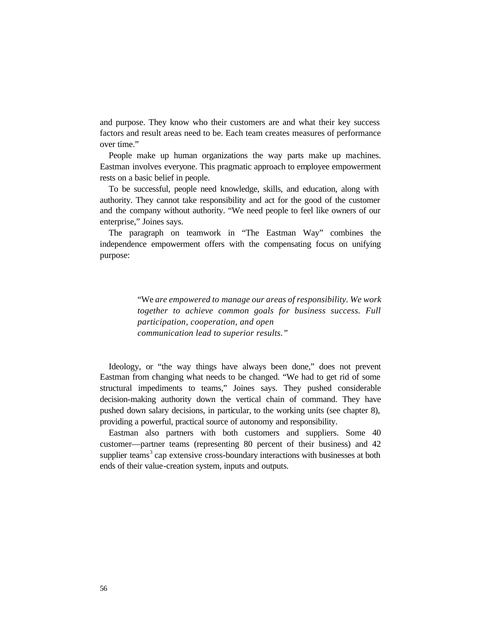and purpose. They know who their customers are and what their key success factors and result areas need to be. Each team creates measures of performance over time."

People make up human organizations the way parts make up machines. Eastman involves everyone. This pragmatic approach to employee empowerment rests on a basic belief in people.

To be successful, people need knowledge, skills, and education, along with authority. They cannot take responsibility and act for the good of the customer and the company without authority. "We need people to feel like owners of our enterprise," Joines says.

The paragraph on teamwork in "The Eastman Way" combines the independence empowerment offers with the compensating focus on unifying purpose:

> "We *are empowered to manage our areas of responsibility. We work together to achieve common goals for business success. Full participation, cooperation, and open communication lead to superior results."*

Ideology, or "the way things have always been done," does not prevent Eastman from changing what needs to be changed. "We had to get rid of some structural impediments to teams," Joines says. They pushed considerable decision-making authority down the vertical chain of command. They have pushed down salary decisions, in particular, to the working units (see chapter 8), providing a powerful, practical source of autonomy and responsibility.

Eastman also partners with both customers and suppliers. Some 40 customer—partner teams (representing 80 percent of their business) and 42 supplier teams<sup>3</sup> cap extensive cross-boundary interactions with businesses at both ends of their value-creation system, inputs and outputs.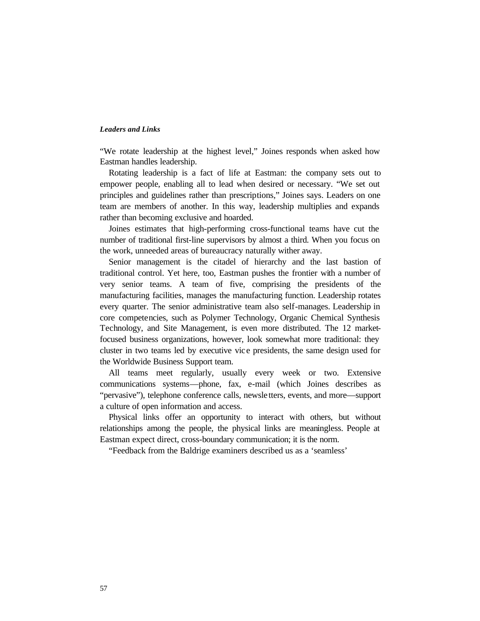#### *Leaders and Links*

"We rotate leadership at the highest level," Joines responds when asked how Eastman handles leadership.

Rotating leadership is a fact of life at Eastman: the company sets out to empower people, enabling all to lead when desired or necessary. "We set out principles and guidelines rather than prescriptions," Joines says. Leaders on one team are members of another. In this way, leadership multiplies and expands rather than becoming exclusive and hoarded.

Joines estimates that high-performing cross-functional teams have cut the number of traditional first-line supervisors by almost a third. When you focus on the work, unneeded areas of bureaucracy naturally wither away.

Senior management is the citadel of hierarchy and the last bastion of traditional control. Yet here, too, Eastman pushes the frontier with a number of very senior teams. A team of five, comprising the presidents of the manufacturing facilities, manages the manufacturing function. Leadership rotates every quarter. The senior administrative team also self-manages. Leadership in core competencies, such as Polymer Technology, Organic Chemical Synthesis Technology, and Site Management, is even more distributed. The 12 marketfocused business organizations, however, look somewhat more traditional: they cluster in two teams led by executive vic e presidents, the same design used for the Worldwide Business Support team.

All teams meet regularly, usually every week or two. Extensive communications systems—phone, fax, e-mail (which Joines describes as "pervasive"), telephone conference calls, newsle tters, events, and more—support a culture of open information and access.

Physical links offer an opportunity to interact with others, but without relationships among the people, the physical links are meaningless. People at Eastman expect direct, cross-boundary communication; it is the norm.

"Feedback from the Baldrige examiners described us as a 'seamless'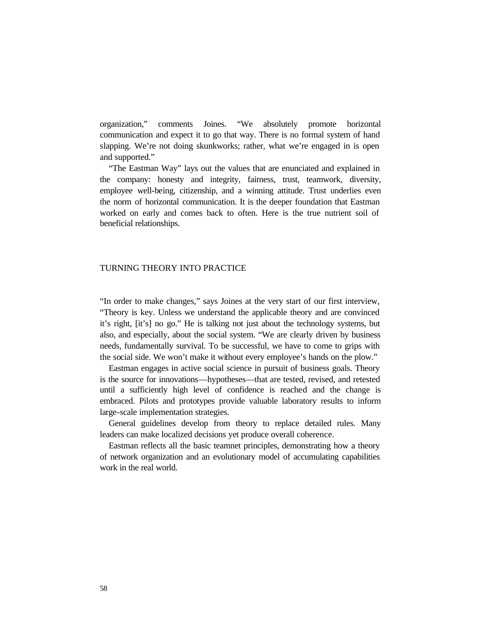organization," comments Joines. "We absolutely promote horizontal communication and expect it to go that way. There is no formal system of hand slapping. We're not doing skunkworks; rather, what we're engaged in is open and supported."

"The Eastman Way" lays out the values that are enunciated and explained in the company: honesty and integrity, fairness, trust, teamwork, diversity, employee well-being, citizenship, and a winning attitude. Trust underlies even the norm of horizontal communication. It is the deeper foundation that Eastman worked on early and comes back to often. Here is the true nutrient soil of beneficial relationships.

#### TURNING THEORY INTO PRACTICE

"In order to make changes," says Joines at the very start of our first interview, "Theory is key. Unless we understand the applicable theory and are convinced it's right, [it's] no go." He is talking not just about the technology systems, but also, and especially, about the social system. "We are clearly driven by business needs, fundamentally survival. To be successful, we have to come to grips with the social side. We won't make it without every employee's hands on the plow."

Eastman engages in active social science in pursuit of business goals. Theory is the source for innovations—hypotheses—that are tested, revised, and retested until a sufficiently high level of confidence is reached and the change is embraced. Pilots and prototypes provide valuable laboratory results to inform large-scale implementation strategies.

General guidelines develop from theory to replace detailed rules. Many leaders can make localized decisions yet produce overall coherence.

Eastman reflects all the basic teamnet principles, demonstrating how a theory of network organization and an evolutionary model of accumulating capabilities work in the real world.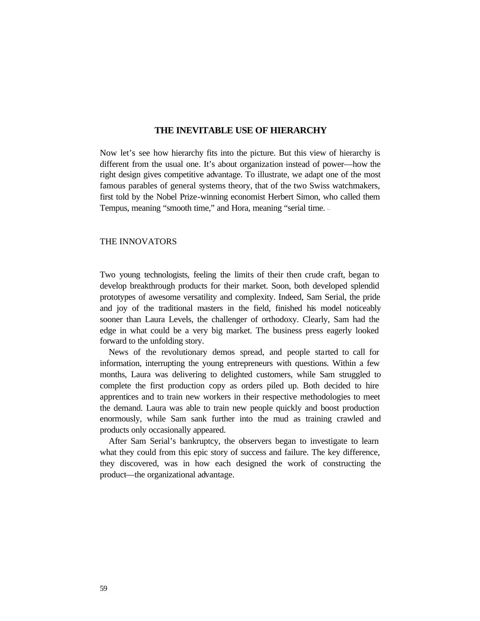#### **THE INEVITABLE USE OF HIERARCHY**

Now let's see how hierarchy fits into the picture. But this view of hierarchy is different from the usual one. It's about organization instead of power—how the right design gives competitive advantage. To illustrate, we adapt one of the most famous parables of general systems theory, that of the two Swiss watchmakers, first told by the Nobel Prize-winning economist Herbert Simon, who called them Tempus, meaning "smooth time," and Hora, meaning "serial time.

#### THE INNOVATORS

Two young technologists, feeling the limits of their then crude craft, began to develop breakthrough products for their market. Soon, both developed splendid prototypes of awesome versatility and complexity. Indeed, Sam Serial, the pride and joy of the traditional masters in the field, finished his model noticeably sooner than Laura Levels, the challenger of orthodoxy. Clearly, Sam had the edge in what could be a very big market. The business press eagerly looked forward to the unfolding story.

News of the revolutionary demos spread, and people started to call for information, interrupting the young entrepreneurs with questions. Within a few months, Laura was delivering to delighted customers, while Sam struggled to complete the first production copy as orders piled up. Both decided to hire apprentices and to train new workers in their respective methodologies to meet the demand. Laura was able to train new people quickly and boost production enormously, while Sam sank further into the mud as training crawled and products only occasionally appeared.

After Sam Serial's bankruptcy, the observers began to investigate to learn what they could from this epic story of success and failure. The key difference, they discovered, was in how each designed the work of constructing the product—the organizational advantage.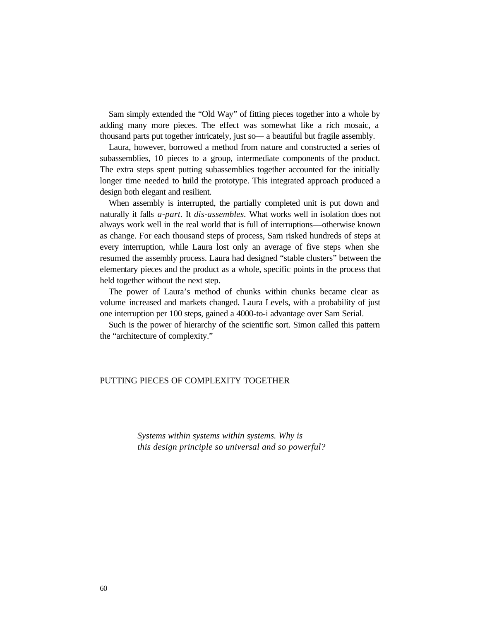Sam simply extended the "Old Way" of fitting pieces together into a whole by adding many more pieces. The effect was somewhat like a rich mosaic, a thousand parts put together intricately, just so— a beautiful but fragile assembly.

Laura, however, borrowed a method from nature and constructed a series of subassemblies, 10 pieces to a group, intermediate components of the product. The extra steps spent putting subassemblies together accounted for the initially longer time needed to build the prototype. This integrated approach produced a design both elegant and resilient.

When assembly is interrupted, the partially completed unit is put down and naturally it falls *a-part.* It *dis-assembles.* What works well in isolation does not always work well in the real world that is full of interruptions—otherwise known as change. For each thousand steps of process, Sam risked hundreds of steps at every interruption, while Laura lost only an average of five steps when she resumed the assembly process. Laura had designed "stable clusters" between the elementary pieces and the product as a whole, specific points in the process that held together without the next step.

The power of Laura's method of chunks within chunks became clear as volume increased and markets changed. Laura Levels, with a probability of just one interruption per 100 steps, gained a 4000-to-i advantage over Sam Serial.

Such is the power of hierarchy of the scientific sort. Simon called this pattern the "architecture of complexity."

#### PUTTING PIECES OF COMPLEXITY TOGETHER

*Systems within systems within systems. Why is this design principle so universal and so powerful?*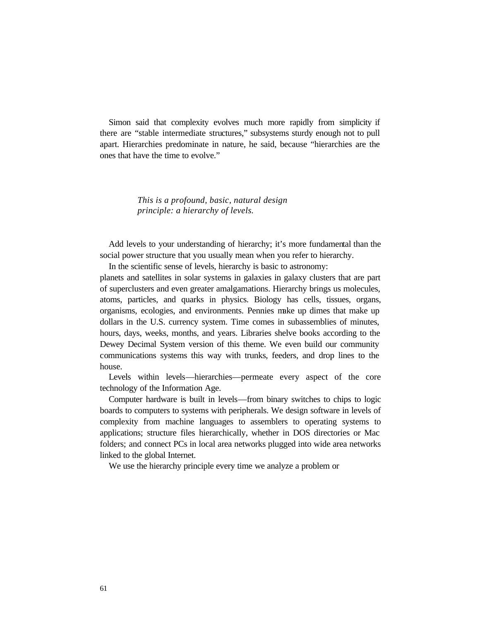Simon said that complexity evolves much more rapidly from simplicity if there are "stable intermediate structures," subsystems sturdy enough not to pull apart. Hierarchies predominate in nature, he said, because "hierarchies are the ones that have the time to evolve."

> *This is a profound, basic, natural design principle: a hierarchy of levels.*

Add levels to your understanding of hierarchy; it's more fundamental than the social power structure that you usually mean when you refer to hierarchy.

In the scientific sense of levels, hierarchy is basic to astronomy:

planets and satellites in solar systems in galaxies in galaxy clusters that are part of superclusters and even greater amalgamations. Hierarchy brings us molecules, atoms, particles, and quarks in physics. Biology has cells, tissues, organs, organisms, ecologies, and environments. Pennies make up dimes that make up dollars in the U.S. currency system. Time comes in subassemblies of minutes, hours, days, weeks, months, and years. Libraries shelve books according to the Dewey Decimal System version of this theme. We even build our community communications systems this way with trunks, feeders, and drop lines to the house.

Levels within levels—hierarchies—permeate every aspect of the core technology of the Information Age.

Computer hardware is built in levels—from binary switches to chips to logic boards to computers to systems with peripherals. We design software in levels of complexity from machine languages to assemblers to operating systems to applications; structure files hierarchically, whether in DOS directories or Mac folders; and connect PCs in local area networks plugged into wide area networks linked to the global Internet.

We use the hierarchy principle every time we analyze a problem or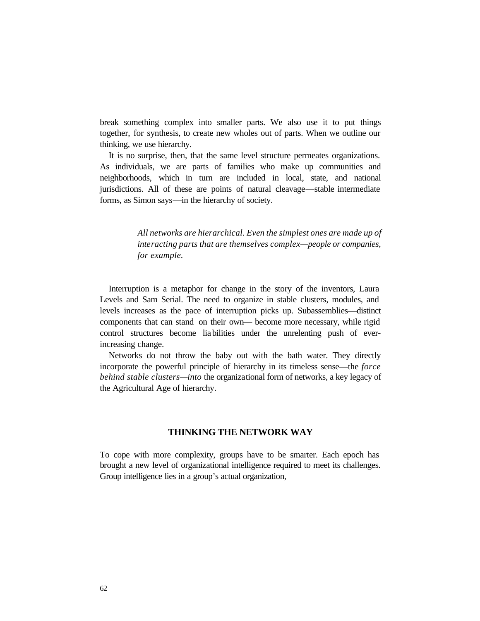break something complex into smaller parts. We also use it to put things together, for synthesis, to create new wholes out of parts. When we outline our thinking, we use hierarchy.

It is no surprise, then, that the same level structure permeates organizations. As individuals, we are parts of families who make up communities and neighborhoods, which in turn are included in local, state, and national jurisdictions. All of these are points of natural cleavage—stable intermediate forms, as Simon says—in the hierarchy of society.

> *All networks are hierarchical. Even the simplest ones are made up of interacting parts that are themselves complex—people or companies, for example.*

Interruption is a metaphor for change in the story of the inventors, Laura Levels and Sam Serial. The need to organize in stable clusters, modules, and levels increases as the pace of interruption picks up. Subassemblies—distinct components that can stand on their own— become more necessary, while rigid control structures become liabilities under the unrelenting push of everincreasing change.

Networks do not throw the baby out with the bath water. They directly incorporate the powerful principle of hierarchy in its timeless sense—the *force behind stable clusters—into* the organizational form of networks, a key legacy of the Agricultural Age of hierarchy.

#### **THINKING THE NETWORK WAY**

To cope with more complexity, groups have to be smarter. Each epoch has brought a new level of organizational intelligence required to meet its challenges. Group intelligence lies in a group's actual organization,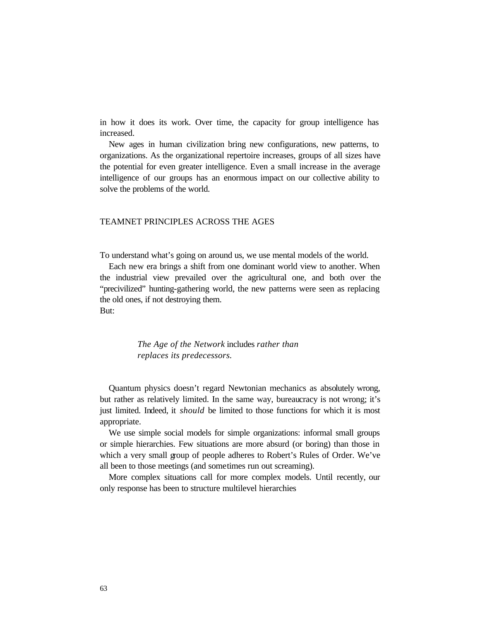in how it does its work. Over time, the capacity for group intelligence has increased.

New ages in human civilization bring new configurations, new patterns, to organizations. As the organizational repertoire increases, groups of all sizes have the potential for even greater intelligence. Even a small increase in the average intelligence of our groups has an enormous impact on our collective ability to solve the problems of the world.

#### TEAMNET PRINCIPLES ACROSS THE AGES

To understand what's going on around us, we use mental models of the world.

Each new era brings a shift from one dominant world view to another. When the industrial view prevailed over the agricultural one, and both over the "precivilized" hunting-gathering world, the new patterns were seen as replacing the old ones, if not destroying them. But:

> *The Age of the Network* includes *rather than replaces its predecessors.*

Quantum physics doesn't regard Newtonian mechanics as absolutely wrong, but rather as relatively limited. In the same way, bureaucracy is not wrong; it's just limited. Indeed, it *should* be limited to those functions for which it is most appropriate.

We use simple social models for simple organizations: informal small groups or simple hierarchies. Few situations are more absurd (or boring) than those in which a very small group of people adheres to Robert's Rules of Order. We've all been to those meetings (and sometimes run out screaming).

More complex situations call for more complex models. Until recently, our only response has been to structure multilevel hierarchies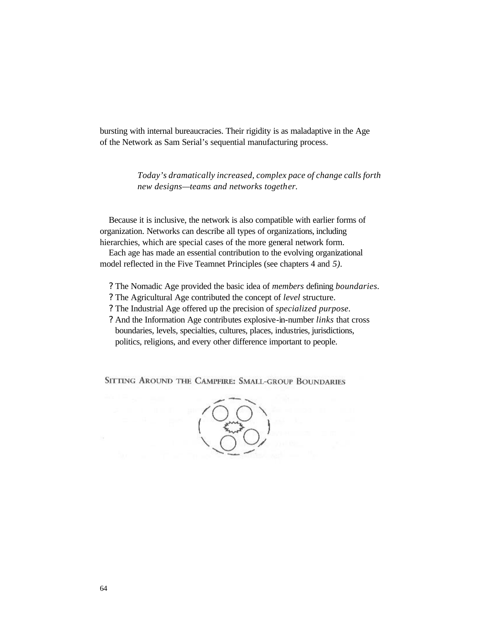bursting with internal bureaucracies. Their rigidity is as maladaptive in the Age of the Network as Sam Serial's sequential manufacturing process.

> *Today's dramatically increased, complex pace of change calls forth new designs—teams and networks together.*

Because it is inclusive, the network is also compatible with earlier forms of organization. Networks can describe all types of organizations, including hierarchies, which are special cases of the more general network form.

Each age has made an essential contribution to the evolving organizational model reflected in the Five Teamnet Principles (see chapters 4 and *5).*

- ? The Nomadic Age provided the basic idea of *members* defining *boundaries.*
- ? The Agricultural Age contributed the concept of *level* structure.
- ? The Industrial Age offered up the precision of *specialized purpose.*

? And the Information Age contributes explosive-in-number *links* that cross boundaries, levels, specialties, cultures, places, industries, jurisdictions, politics, religions, and every other difference important to people.

SITTING AROUND THE CAMPFIRE: SMALL-GROUP BOUNDARIES

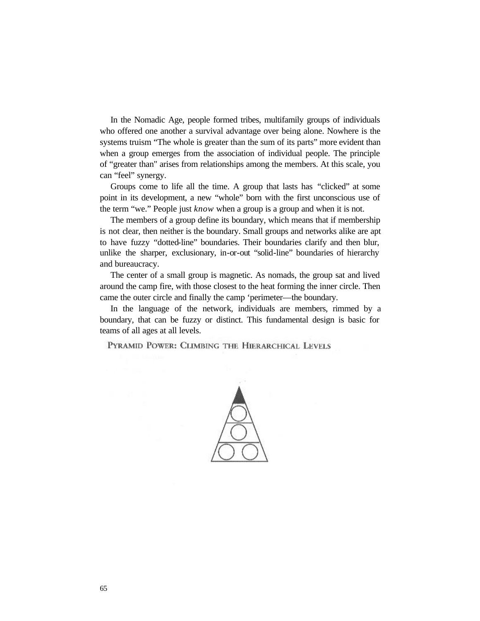In the Nomadic Age, people formed tribes, multifamily groups of individuals who offered one another a survival advantage over being alone. Nowhere is the systems truism "The whole is greater than the sum of its parts" more evident than when a group emerges from the association of individual people. The principle of "greater than" arises from relationships among the members. At this scale, you can "feel" synergy.

Groups come to life all the time. A group that lasts has "clicked" at some point in its development, a new "whole" born with the first unconscious use of the term "we." People just *know* when a group is a group and when it is not.

The members of a group define its boundary, which means that if membership is not clear, then neither is the boundary. Small groups and networks alike are apt to have fuzzy "dotted-line" boundaries. Their boundaries clarify and then blur, unlike the sharper, exclusionary, in-or-out "solid-line" boundaries of hierarchy and bureaucracy.

The center of a small group is magnetic. As nomads, the group sat and lived around the camp fire, with those closest to the heat forming the inner circle. Then came the outer circle and finally the camp 'perimeter—the boundary.

In the language of the network, individuals are members, rimmed by a boundary, that can be fuzzy or distinct. This fundamental design is basic for teams of all ages at all levels.

PYRAMID POWER: CLIMBING THE HIERARCHICAL LEVELS

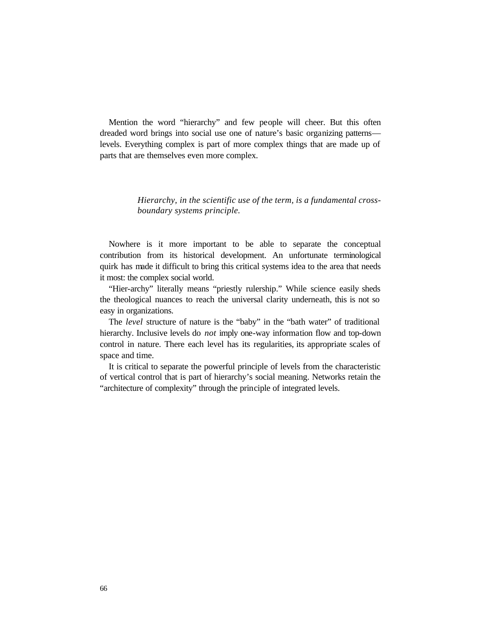Mention the word "hierarchy" and few people will cheer. But this often dreaded word brings into social use one of nature's basic organizing patterns levels. Everything complex is part of more complex things that are made up of parts that are themselves even more complex.

> *Hierarchy, in the scientific use of the term, is a fundamental crossboundary systems principle.*

Nowhere is it more important to be able to separate the conceptual contribution from its historical development. An unfortunate terminological quirk has made it difficult to bring this critical systems idea to the area that needs it most: the complex social world.

"Hier-archy" literally means "priestly rulership." While science easily sheds the theological nuances to reach the universal clarity underneath, this is not so easy in organizations.

The *level* structure of nature is the "baby" in the "bath water" of traditional hierarchy. Inclusive levels do *not* imply one-way information flow and top-down control in nature. There each level has its regularities, its appropriate scales of space and time.

It is critical to separate the powerful principle of levels from the characteristic of vertical control that is part of hierarchy's social meaning. Networks retain the "architecture of complexity" through the principle of integrated levels.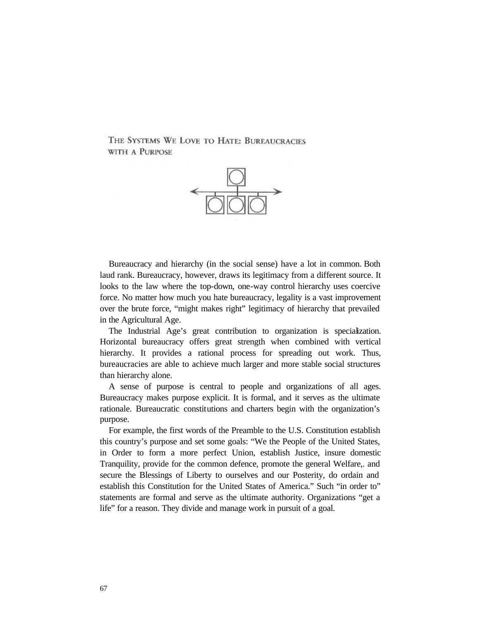THE SYSTEMS WE LOVE TO HATE: BUREAUCRACIES WITH A PURPOSE



Bureaucracy and hierarchy (in the social sense) have a lot in common. Both laud rank. Bureaucracy, however, draws its legitimacy from a different source. It looks to the law where the top-down, one-way control hierarchy uses coercive force. No matter how much you hate bureaucracy, legality is a vast improvement over the brute force, "might makes right" legitimacy of hierarchy that prevailed in the Agricultural Age.

The Industrial Age's great contribution to organization is specialization. Horizontal bureaucracy offers great strength when combined with vertical hierarchy. It provides a rational process for spreading out work. Thus, bureaucracies are able to achieve much larger and more stable social structures than hierarchy alone.

A sense of purpose is central to people and organizations of all ages. Bureaucracy makes purpose explicit. It is formal, and it serves as the ultimate rationale. Bureaucratic constitutions and charters begin with the organization's purpose.

For example, the first words of the Preamble to the U.S. Constitution establish this country's purpose and set some goals: "We the People of the United States, in Order to form a more perfect Union, establish Justice, insure domestic Tranquility, provide for the common defence, promote the general Welfare,. and secure the Blessings of Liberty to ourselves and our Posterity, do ordain and establish this Constitution for the United States of America." Such "in order to" statements are formal and serve as the ultimate authority. Organizations "get a life" for a reason. They divide and manage work in pursuit of a goal.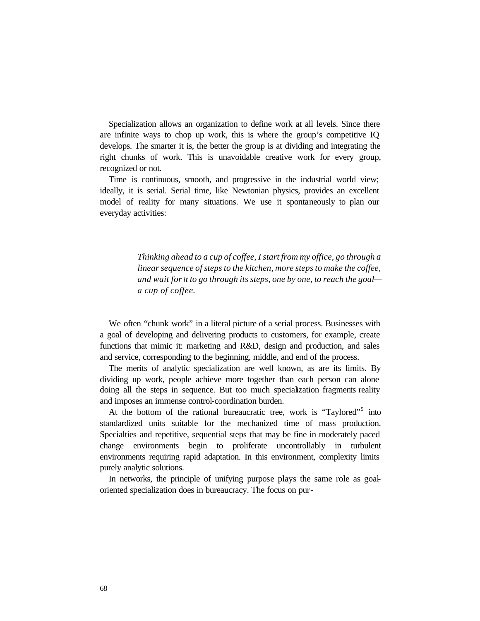Specialization allows an organization to define work at all levels. Since there are infinite ways to chop up work, this is where the group's competitive IQ develops. The smarter it is, the better the group is at dividing and integrating the right chunks of work. This is unavoidable creative work for every group, recognized or not.

Time is continuous, smooth, and progressive in the industrial world view; ideally, it is serial. Serial time, like Newtonian physics, provides an excellent model of reality for many situations. We use it spontaneously to plan our everyday activities:

> *Thinking ahead to a cup of coffee, I start from my office, go through a linear sequence of steps to the kitchen, more steps to make the coffee, and wait for it to go through its steps, one by one, to reach the goal a cup of coffee.*

We often "chunk work" in a literal picture of a serial process. Businesses with a goal of developing and delivering products to customers, for example, create functions that mimic it: marketing and R&D, design and production, and sales and service, corresponding to the beginning, middle, and end of the process.

The merits of analytic specialization are well known, as are its limits. By dividing up work, people achieve more together than each person can alone doing all the steps in sequence. But too much specialization fragments reality and imposes an immense control-coordination burden.

At the bottom of the rational bureaucratic tree, work is "Taylored"<sup>5</sup> into standardized units suitable for the mechanized time of mass production. Specialties and repetitive, sequential steps that may be fine in moderately paced change environments begin to proliferate uncontrollably in turbulent environments requiring rapid adaptation. In this environment, complexity limits purely analytic solutions.

In networks, the principle of unifying purpose plays the same role as goaloriented specialization does in bureaucracy. The focus on pur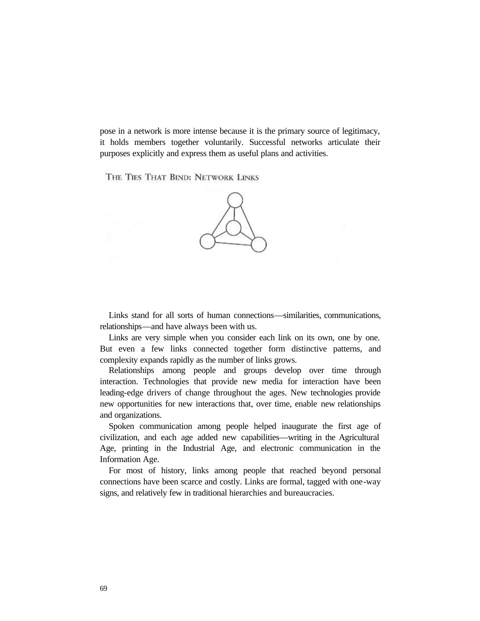pose in a network is more intense because it is the primary source of legitimacy, it holds members together voluntarily. Successful networks articulate their purposes explicitly and express them as useful plans and activities.

THE TIES THAT BIND: NETWORK LINKS



Links stand for all sorts of human connections—similarities, communications, relationships—and have always been with us.

Links are very simple when you consider each link on its own, one by one. But even a few links connected together form distinctive patterns, and complexity expands rapidly as the number of links grows.

Relationships among people and groups develop over time through interaction. Technologies that provide new media for interaction have been leading-edge drivers of change throughout the ages. New technologies provide new opportunities for new interactions that, over time, enable new relationships and organizations.

Spoken communication among people helped inaugurate the first age of civilization, and each age added new capabilities—writing in the Agricultural Age, printing in the Industrial Age, and electronic communication in the Information Age.

For most of history, links among people that reached beyond personal connections have been scarce and costly. Links are formal, tagged with one-way signs, and relatively few in traditional hierarchies and bureaucracies.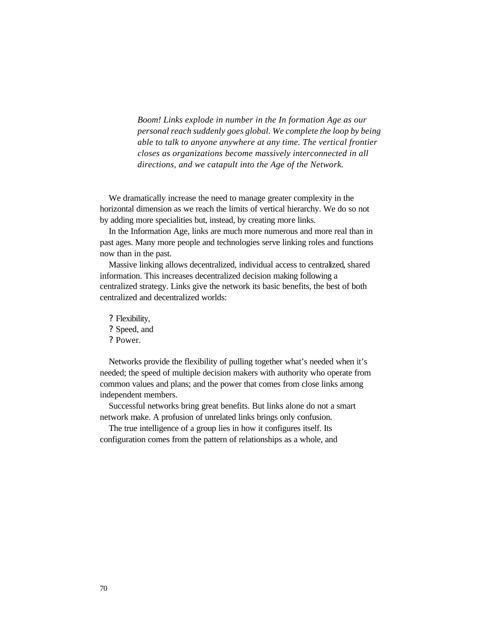*Boom! Links explode in number in the In formation Age as our personal reach suddenly goes global. We complete the loop by being able to talk to anyone anywhere at any time. The vertical frontier closes as organizations become massively interconnected in all directions, and we catapult into the Age of the Network.*

We dramatically increase the need to manage greater complexity in the horizontal dimension as we reach the limits of vertical hierarchy. We do so not by adding more specialities but, instead, by creating more links.

In the Information Age, links are much more numerous and more real than in past ages. Many more people and technologies serve linking roles and functions now than in the past.

Massive linking allows decentralized, individual access to centralized, shared information. This increases decentralized decision making following a centralized strategy. Links give the network its basic benefits, the best of both centralized and decentralized worlds:

- ? Flexibility,
- ? Speed, and
- ? Power.

Networks provide the flexibility of pulling together what's needed when it's needed; the speed of multiple decision makers with authority who operate from common values and plans; and the power that comes from close links among independent members.

Successful networks bring great benefits. But links alone do not a smart network make. A profusion of unrelated links brings only confusion.

The true intelligence of a group lies in how it configures itself. Its configuration comes from the pattern of relationships as a whole, and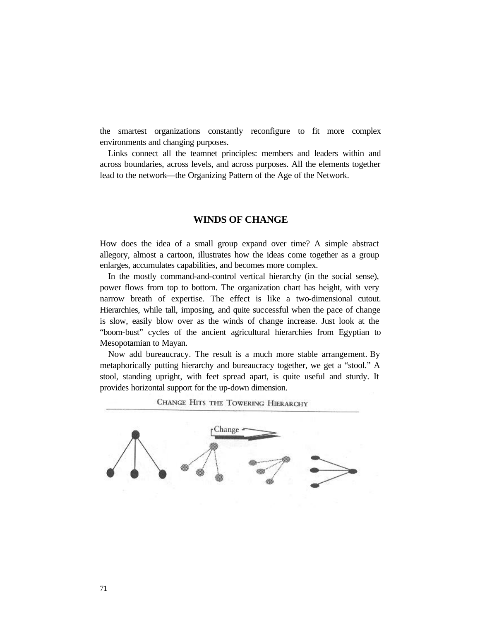the smartest organizations constantly reconfigure to fit more complex environments and changing purposes.

Links connect all the teamnet principles: members and leaders within and across boundaries, across levels, and across purposes. All the elements together lead to the network—the Organizing Pattern of the Age of the Network.

#### **WINDS OF CHANGE**

How does the idea of a small group expand over time? A simple abstract allegory, almost a cartoon, illustrates how the ideas come together as a group enlarges, accumulates capabilities, and becomes more complex.

In the mostly command-and-control vertical hierarchy (in the social sense), power flows from top to bottom. The organization chart has height, with very narrow breath of expertise. The effect is like a two-dimensional cutout. Hierarchies, while tall, imposing, and quite successful when the pace of change is slow, easily blow over as the winds of change increase. Just look at the "boom-bust" cycles of the ancient agricultural hierarchies from Egyptian to Mesopotamian to Mayan.

Now add bureaucracy. The result is a much more stable arrangement. By metaphorically putting hierarchy and bureaucracy together, we get a "stool." A stool, standing upright, with feet spread apart, is quite useful and sturdy. It provides horizontal support for the up-down dimension.

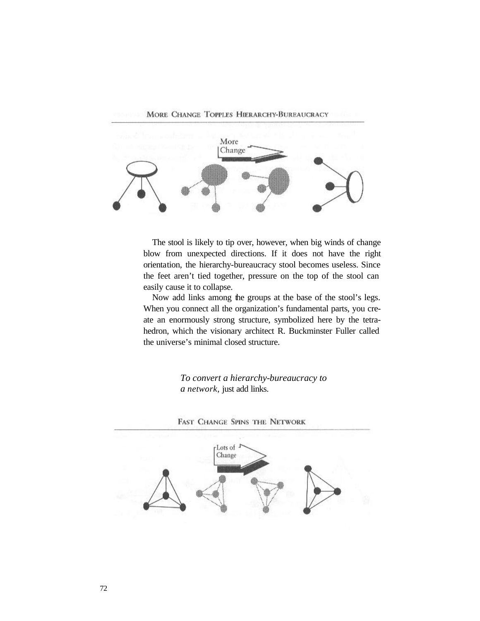

The stool is likely to tip over, however, when big winds of change blow from unexpected directions. If it does not have the right orientation, the hierarchy-bureaucracy stool becomes useless. Since the feet aren't tied together, pressure on the top of the stool can easily cause it to collapse.

Now add links among the groups at the base of the stool's legs. When you connect all the organization's fundamental parts, you create an enormously strong structure, symbolized here by the tetrahedron, which the visionary architect R. Buckminster Fuller called the universe's minimal closed structure.

> *To convert a hierarchy-bureaucracy to a network,* just add links.



FAST CHANGE SPINS THE NETWORK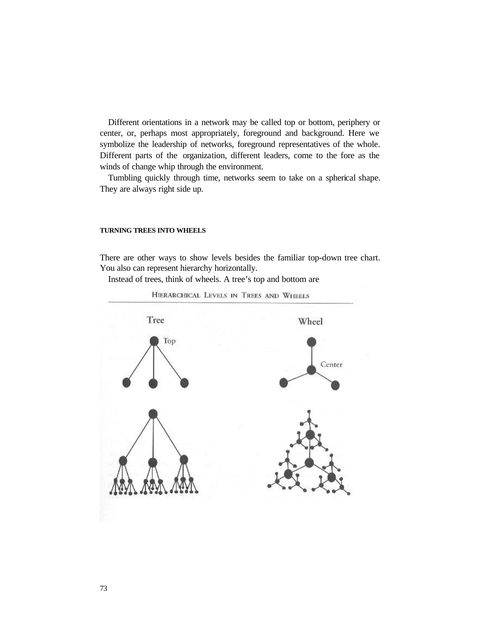Different orientations in a network may be called top or bottom, periphery or center, or, perhaps most appropriately, foreground and background. Here we symbolize the leadership of networks, foreground representatives of the whole. Different parts of the organization, different leaders, come to the fore as the winds of change whip through the environment.

Tumbling quickly through time, networks seem to take on a spherical shape. They are always right side up.

#### **TURNING TREES INTO WHEELS**

There are other ways to show levels besides the familiar top-down tree chart. You also can represent hierarchy horizontally.

Instead of trees, think of wheels. A tree's top and bottom are

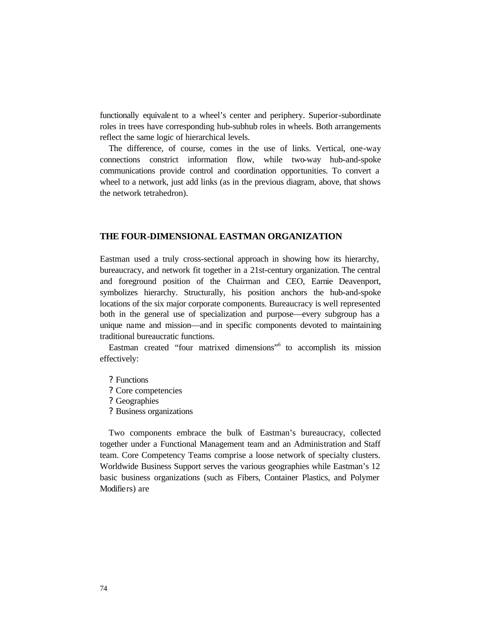functionally equivalent to a wheel's center and periphery. Superior-subordinate roles in trees have corresponding hub-subhub roles in wheels. Both arrangements reflect the same logic of hierarchical levels.

The difference, of course, comes in the use of links. Vertical, one-way connections constrict information flow, while two-way hub-and-spoke communications provide control and coordination opportunities. To convert a wheel to a network, just add links (as in the previous diagram, above, that shows the network tetrahedron).

#### **THE FOUR-DIMENSIONAL EASTMAN ORGANIZATION**

Eastman used a truly cross-sectional approach in showing how its hierarchy, bureaucracy, and network fit together in a 21st-century organization. The central and foreground position of the Chairman and CEO, Earnie Deavenport, symbolizes hierarchy. Structurally, his position anchors the hub-and-spoke locations of the six major corporate components. Bureaucracy is well represented both in the general use of specialization and purpose—every subgroup has a unique name and mission—and in specific components devoted to maintaining traditional bureaucratic functions.

Eastman created "four matrixed dimensions" to accomplish its mission effectively:

? Functions ? Core competencies ? Geographies ? Business organizations

Two components embrace the bulk of Eastman's bureaucracy, collected together under a Functional Management team and an Administration and Staff team. Core Competency Teams comprise a loose network of specialty clusters. Worldwide Business Support serves the various geographies while Eastman's 12 basic business organizations (such as Fibers, Container Plastics, and Polymer Modifiers) are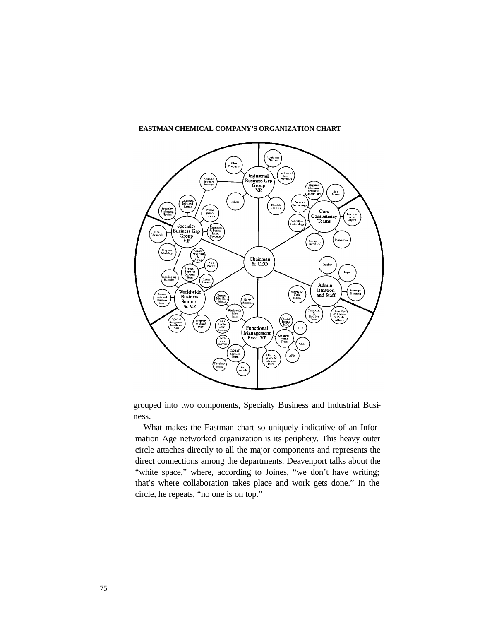#### **EASTMAN CHEMICAL COMPANY'S ORGANIZATION CHART**



grouped into two components, Specialty Business and Industrial Business.

What makes the Eastman chart so uniquely indicative of an Information Age networked organization is its periphery. This heavy outer circle attaches directly to all the major components and represents the direct connections among the departments. Deavenport talks about the "white space," where, according to Joines, "we don't have writing; that's where collaboration takes place and work gets done." In the circle, he repeats, "no one is on top."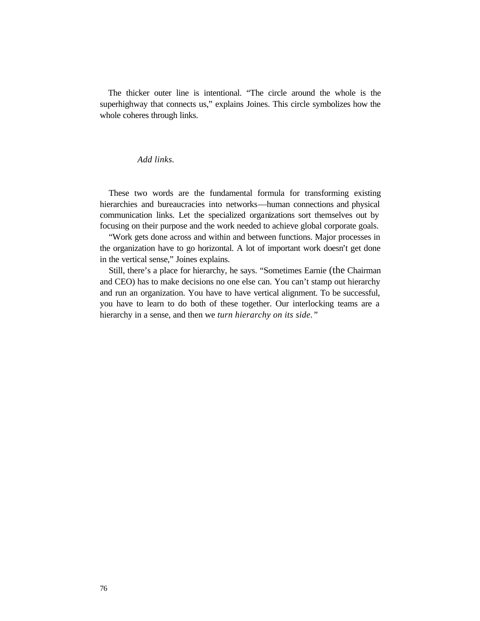The thicker outer line is intentional. "The circle around the whole is the superhighway that connects us," explains Joines. This circle symbolizes how the whole coheres through links.

#### *Add links.*

These two words are the fundamental formula for transforming existing hierarchies and bureaucracies into networks—human connections and physical communication links. Let the specialized organizations sort themselves out by focusing on their purpose and the work needed to achieve global corporate goals.

"Work gets done across and within and between functions. Major processes in the organization have to go horizontal. A lot of important work doesn't get done in the vertical sense," Joines explains.

Still, there's a place for hierarchy, he says. "Sometimes Earnie (the Chairman and CEO) has to make decisions no one else can. You can't stamp out hierarchy and run an organization. You have to have vertical alignment. To be successful, you have to learn to do both of these together. Our interlocking teams are a hierarchy in a sense, and then we *turn hierarchy on its side."*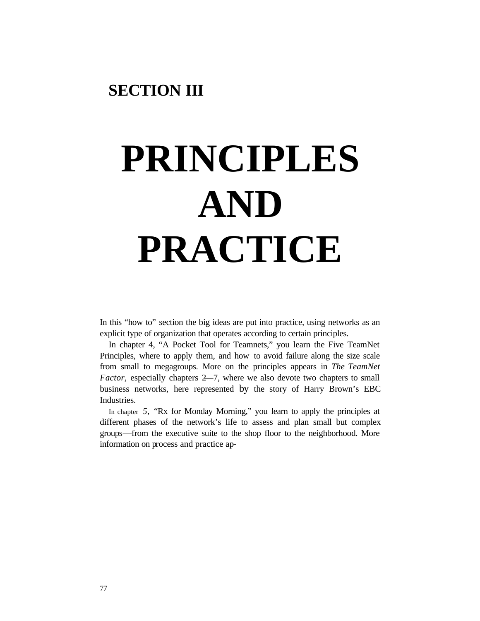### **SECTION III**

# **PRINCIPLES AND PRACTICE**

In this "how to" section the big ideas are put into practice, using networks as an explicit type of organization that operates according to certain principles.

In chapter 4, "A Pocket Tool for Teamnets," you learn the Five TeamNet Principles, where to apply them, and how to avoid failure along the size scale from small to megagroups. More on the principles appears in *The TeamNet Factor*, especially chapters 2—7, where we also devote two chapters to small business networks, here represented by the story of Harry Brown's EBC Industries.

In chapter *5,* "Rx for Monday Morning," you learn to apply the principles at different phases of the network's life to assess and plan small but complex groups—from the executive suite to the shop floor to the neighborhood. More information on process and practice ap-